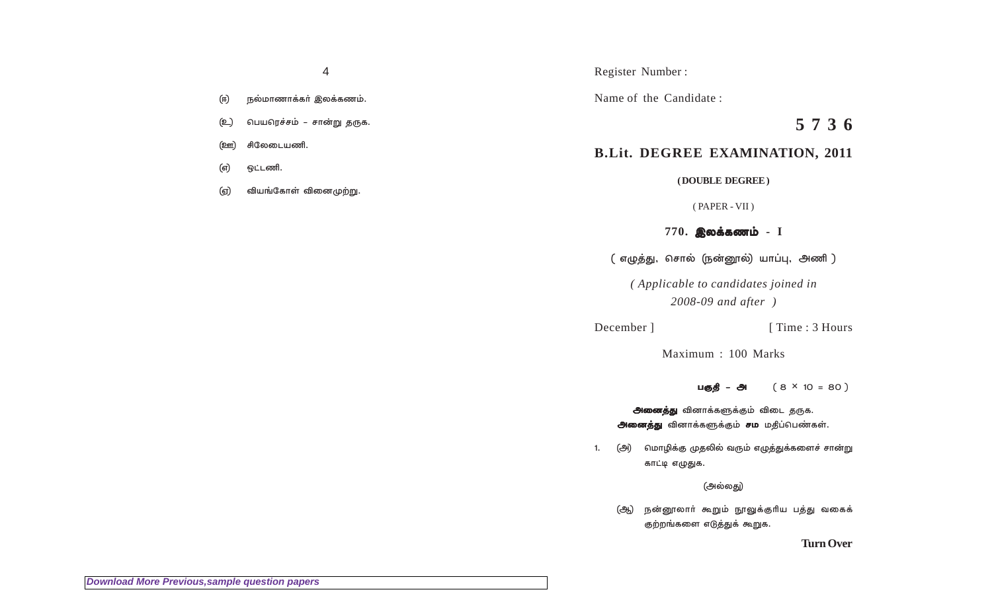- நல்மாணாக்கா் இலக்கணம். (ஈ)
- (ഉ\_) பெயரெச்சம் – சான்று தருக.
- சிலேடையணி. <u>(ஊ)</u>
- ஒட்டணி. (எ)
- வியங்கோள் வினைமுற்று. (ஏ)

Register Number:

Name of the Candidate:

5736

# **B.Lit. DEGREE EXAMINATION, 2011**

(DOUBLE DEGREE)

 $(PAPER - VII)$ 

# $770.$  இலக்கணம் - I

( எழுத்து, சொல் (நன்னூல்) யாப்பு, அணி )

(Applicable to candidates joined in  $2008-09$  and after  $)$ 

December ]

[Time: 3 Hours]

Maximum: 100 Marks

 $(8 \times 10 = 80)$ பகுதி – அ

**அனைத்து** வினாக்களுக்கும் விடை தருக. அனைத்து வினாக்களுக்கும் சம மதிப்பெண்கள்.

மொழிக்கு முதலில் வரும் எழுத்துக்களைச் சான்று (அ)  $1.$ காட்டி எழுதுக.

(அல்லது)

நன்னூலாா் கூறும் நூலுக்குாிய பத்து வகைக் (ஆ) குற்றங்களை எடுத்துக் கூறுக.

**Turn Over**